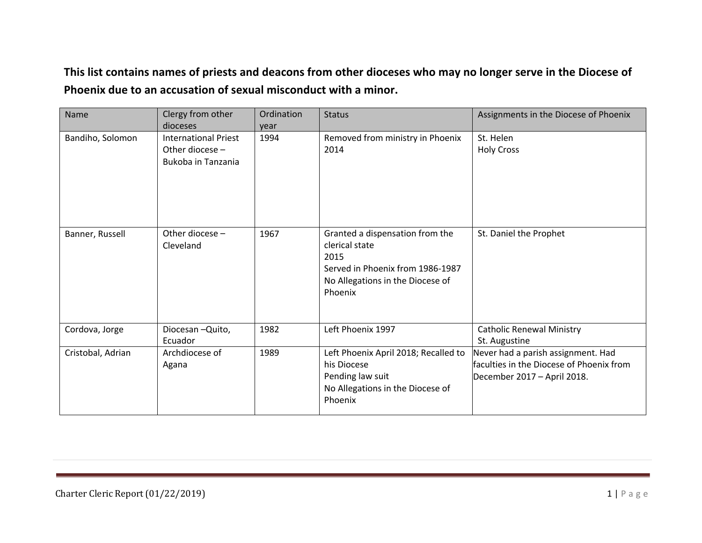## **This list contains names of priests and deacons from other dioceses who may no longer serve in the Diocese of Phoenix due to an accusation of sexual misconduct with a minor.**

| Name              | Clergy from other<br>dioceses                                        | Ordination<br>year | <b>Status</b>                                                                                                                                | Assignments in the Diocese of Phoenix                                                                         |
|-------------------|----------------------------------------------------------------------|--------------------|----------------------------------------------------------------------------------------------------------------------------------------------|---------------------------------------------------------------------------------------------------------------|
| Bandiho, Solomon  | <b>International Priest</b><br>Other diocese -<br>Bukoba in Tanzania | 1994               | Removed from ministry in Phoenix<br>2014                                                                                                     | St. Helen<br><b>Holy Cross</b>                                                                                |
| Banner, Russell   | Other diocese -<br>Cleveland                                         | 1967               | Granted a dispensation from the<br>clerical state<br>2015<br>Served in Phoenix from 1986-1987<br>No Allegations in the Diocese of<br>Phoenix | St. Daniel the Prophet                                                                                        |
| Cordova, Jorge    | Diocesan-Quito,<br>Ecuador                                           | 1982               | Left Phoenix 1997                                                                                                                            | <b>Catholic Renewal Ministry</b><br>St. Augustine                                                             |
| Cristobal, Adrian | Archdiocese of<br>Agana                                              | 1989               | Left Phoenix April 2018; Recalled to<br>his Diocese<br>Pending law suit<br>No Allegations in the Diocese of<br>Phoenix                       | Never had a parish assignment. Had<br>faculties in the Diocese of Phoenix from<br>December 2017 - April 2018. |